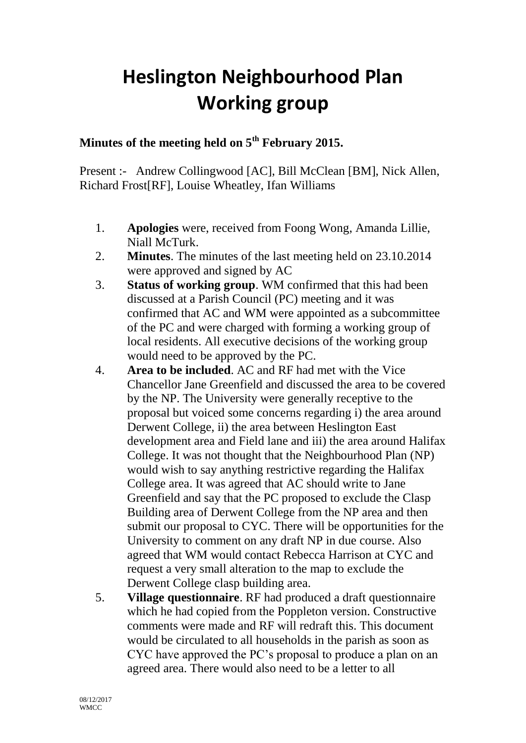## **Heslington Neighbourhood Plan Working group**

## **Minutes of the meeting held on 5th February 2015.**

Present :- Andrew Collingwood [AC], Bill McClean [BM], Nick Allen, Richard Frost[RF], Louise Wheatley, Ifan Williams

- 1. **Apologies** were, received from Foong Wong, Amanda Lillie, Niall McTurk.
- 2. **Minutes**. The minutes of the last meeting held on 23.10.2014 were approved and signed by AC
- 3. **Status of working group**. WM confirmed that this had been discussed at a Parish Council (PC) meeting and it was confirmed that AC and WM were appointed as a subcommittee of the PC and were charged with forming a working group of local residents. All executive decisions of the working group would need to be approved by the PC.
- 4. **Area to be included**. AC and RF had met with the Vice Chancellor Jane Greenfield and discussed the area to be covered by the NP. The University were generally receptive to the proposal but voiced some concerns regarding i) the area around Derwent College, ii) the area between Heslington East development area and Field lane and iii) the area around Halifax College. It was not thought that the Neighbourhood Plan (NP) would wish to say anything restrictive regarding the Halifax College area. It was agreed that AC should write to Jane Greenfield and say that the PC proposed to exclude the Clasp Building area of Derwent College from the NP area and then submit our proposal to CYC. There will be opportunities for the University to comment on any draft NP in due course. Also agreed that WM would contact Rebecca Harrison at CYC and request a very small alteration to the map to exclude the Derwent College clasp building area.
- 5. **Village questionnaire**. RF had produced a draft questionnaire which he had copied from the Poppleton version. Constructive comments were made and RF will redraft this. This document would be circulated to all households in the parish as soon as CYC have approved the PC's proposal to produce a plan on an agreed area. There would also need to be a letter to all